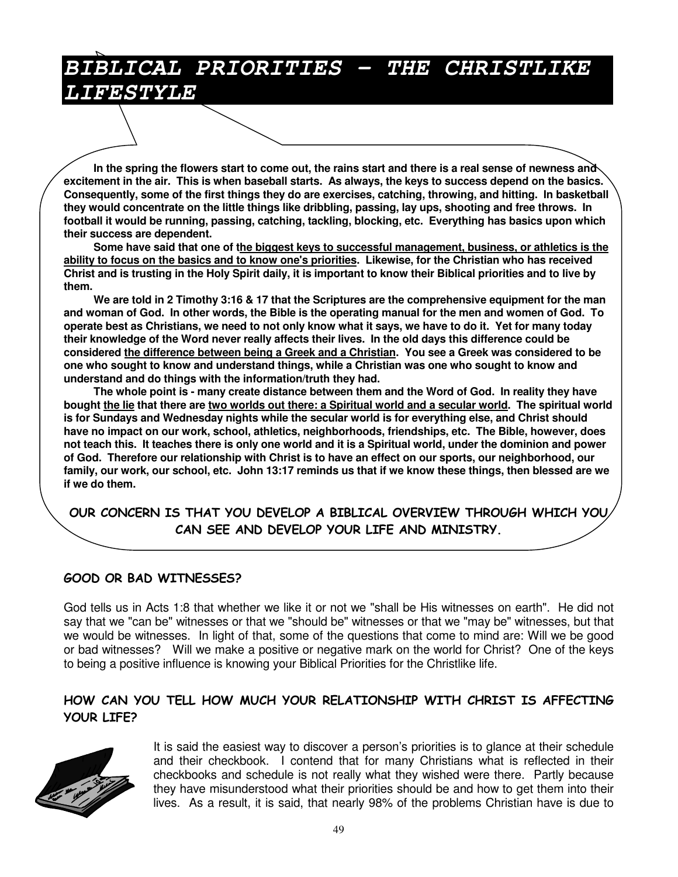## *BIBLICAL PRIORITIES - THE CHRISTLIKE LIFESTYLE*

In the spring the flowers start to come out, the rains start and there is a real sense of newness and excitement in the air. This is when baseball starts. As always, the keys to success depend on the basics. **Consequently, some of the first things they do are exercises, catching, throwing, and hitting. In basketball** they would concentrate on the little things like dribbling, passing, lay ups, shooting and free throws. In **football it would be running, passing, catching, tackling, blocking, etc. Everything has basics upon which their success are dependent.**

**Some have said that one of the biggest keys to successful management, business, or athletics is the** ability to focus on the basics and to know one's priorities. Likewise, for the Christian who has received Christ and is trusting in the Holy Spirit daily, it is important to know their Biblical priorities and to live by **them.**

We are told in 2 Timothy 3:16 & 17 that the Scriptures are the comprehensive equipment for the man and woman of God. In other words, the Bible is the operating manual for the men and women of God. To operate best as Christians, we need to not only know what it says, we have to do it. Yet for many today their knowledge of the Word never really affects their lives. In the old days this difference could be considered the difference between being a Greek and a Christian. You see a Greek was considered to be **one who sought to know and understand things, while a Christian was one who sought to know and understand and do things with the information/truth they had.**

The whole point is - many create distance between them and the Word of God. In reality they have bought the lie that there are two worlds out there: a Spiritual world and a secular world. The spiritual world **is for Sundays and Wednesday nights while the secular world is for everything else, and Christ should have no impact on our work, school, athletics, neighborhoods, friendships, etc. The Bible, however, does** not teach this. It teaches there is only one world and it is a Spiritual world, under the dominion and power of God. Therefore our relationship with Christ is to have an effect on our sports, our neighborhood, our family, our work, our school, etc. John 13:17 reminds us that if we know these things, then blessed are we **if we do them.**

OUR CONCERN IS THAT YOU DEVELOP A BIBLICAL OVERVIEW THROUGH WHICH YOU, CAN SEE AND DEVELOP YOUR LIFE AND MINISTRY.

#### GOOD OR BAD WITNESSES?

God tells us in Acts 1:8 that whether we like it or not we "shall be His witnesses on earth". He did not say that we "can be" witnesses or that we "should be" witnesses or that we "may be" witnesses, but that we would be witnesses. In light of that, some of the questions that come to mind are: Will we be good or bad witnesses? Will we make a positive or negative mark on the world for Christ? One of the keys to being a positive influence is knowing your Biblical Priorities for the Christlike life.

#### HOW CAN YOU TELL HOW MUCH YOUR RELATIONSHIP WITH CHRIST IS AFFECTING YOUR LIFE?



It is said the easiest way to discover a person's priorities is to glance at their schedule and their checkbook. I contend that for many Christians what is reflected in their checkbooks and schedule is not really what they wished were there. Partly because they have misunderstood what their priorities should be and how to get them into their lives. As a result, it is said, that nearly 98% of the problems Christian have is due to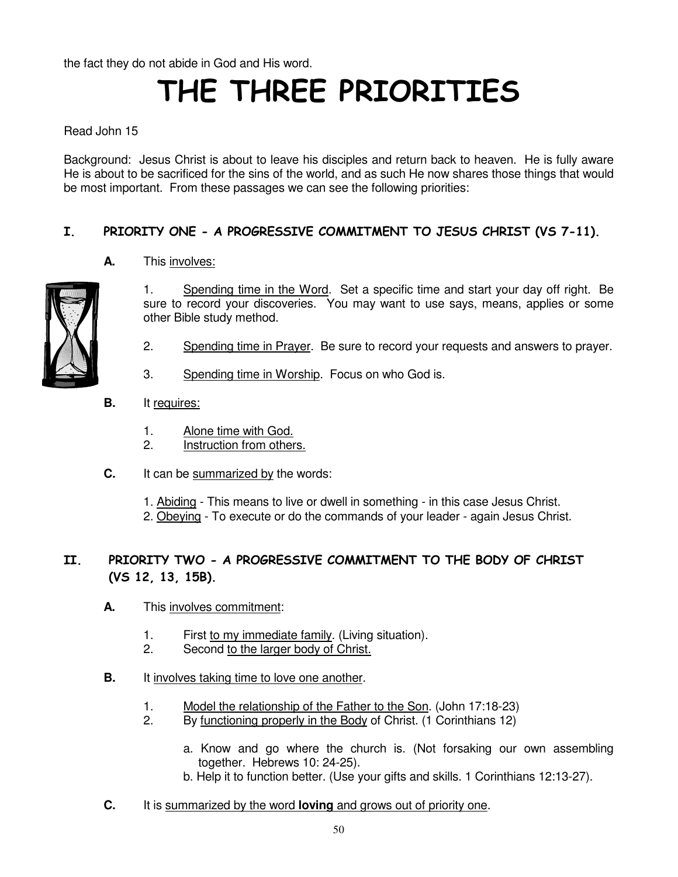the fact they do not abide in God and His word.

# THE THREE PRIORITIES

Read John 15

Background: Jesus Christ is about to leave his disciples and return back to heaven. He is fully aware He is about to be sacrificed for the sins of the world, and as such He now shares those things that would be most important. From these passages we can see the following priorities:

#### I. PRIORITY ONE - A PROGRESSIVE COMMITMENT TO JESUS CHRIST (VS 7-11).

**A.** This involves:



1. Spending time in the Word. Set a specific time and start your day off right. Be sure to record your discoveries. You may want to use says, means, applies or some other Bible study method.

- 2. Spending time in Prayer. Be sure to record your requests and answers to prayer.
- 3. Spending time in Worship. Focus on who God is.
- **B.** It requires:
	- 1. Alone time with God.
	- 2. Instruction from others.
- **C.** It can be summarized by the words:
	- 1. Abiding This means to live or dwell in something in this case Jesus Christ.
	- 2. Obeying To execute or do the commands of your leader again Jesus Christ.

#### II. PRIORITY TWO - A PROGRESSIVE COMMITMENT TO THE BODY OF CHRIST  $(VS 12, 13, 15B)$ .

- **A.** This involves commitment:
	- 1. First to my immediate family. (Living situation).
	- 2. Second to the larger body of Christ.
- **B.** It involves taking time to love one another.
	- 1. Model the relationship of the Father to the Son. (John 17:18-23)
	- 2. By functioning properly in the Body of Christ. (1 Corinthians 12)
		- a. Know and go where the church is. (Not forsaking our own assembling together. Hebrews 10: 24-25). b. Help it to function better. (Use your gifts and skills. 1 Corinthians 12:13-27).
- **C.** It is summarized by the word **loving** and grows out of priority one.